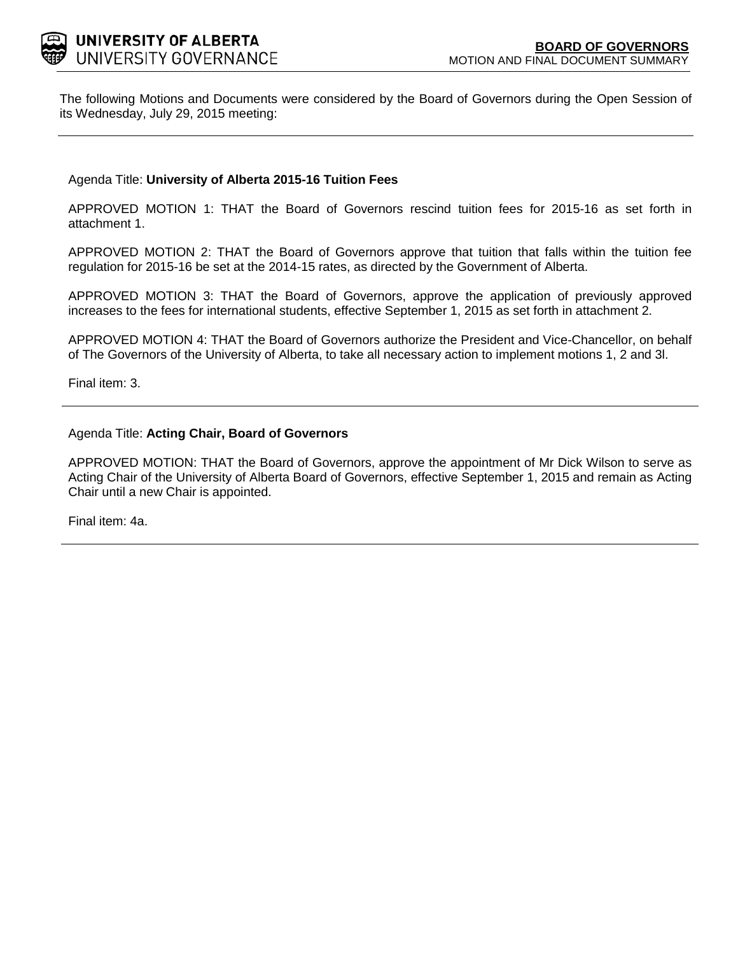

The following Motions and Documents were considered by the Board of Governors during the Open Session of its Wednesday, July 29, 2015 meeting:

Agenda Title: **University of Alberta 2015-16 Tuition Fees**

APPROVED MOTION 1: THAT the Board of Governors rescind tuition fees for 2015-16 as set forth in attachment 1.

APPROVED MOTION 2: THAT the Board of Governors approve that tuition that falls within the tuition fee regulation for 2015-16 be set at the 2014-15 rates, as directed by the Government of Alberta.

APPROVED MOTION 3: THAT the Board of Governors, approve the application of previously approved increases to the fees for international students, effective September 1, 2015 as set forth in attachment 2.

APPROVED MOTION 4: THAT the Board of Governors authorize the President and Vice-Chancellor, on behalf of The Governors of the University of Alberta, to take all necessary action to implement motions 1, 2 and 3l.

Final item: [3.](#page-1-0)

#### Agenda Title: **Acting Chair, Board of Governors**

APPROVED MOTION: THAT the Board of Governors, approve the appointment of Mr Dick Wilson to serve as Acting Chair of the University of Alberta Board of Governors, effective September 1, 2015 and remain as Acting Chair until a new Chair is appointed.

Final item: [4a.](#page-12-0)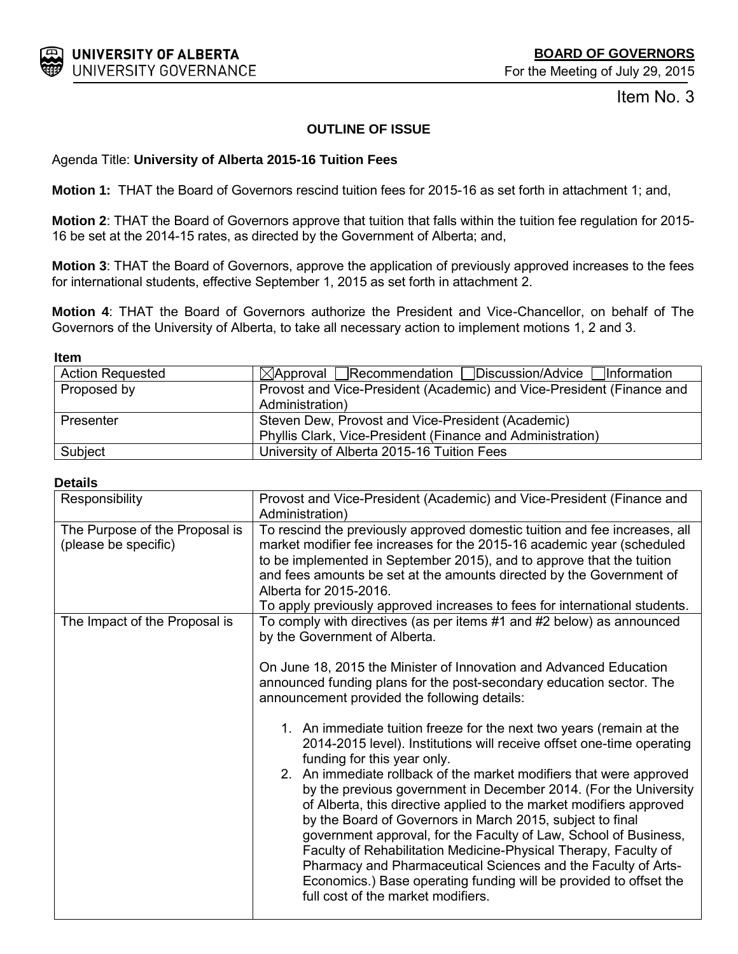<span id="page-1-0"></span>

Item No. 3

# **OUTLINE OF ISSUE**

# Agenda Title: **University of Alberta 2015-16 Tuition Fees**

**Motion 1:** THAT the Board of Governors rescind tuition fees for 2015-16 as set forth in attachment 1; and,

**Motion 2**: THAT the Board of Governors approve that tuition that falls within the tuition fee regulation for 2015- 16 be set at the 2014-15 rates, as directed by the Government of Alberta; and,

**Motion 3**: THAT the Board of Governors, approve the application of previously approved increases to the fees for international students, effective September 1, 2015 as set forth in attachment 2.

**Motion 4**: THAT the Board of Governors authorize the President and Vice-Chancellor, on behalf of The Governors of the University of Alberta, to take all necessary action to implement motions 1, 2 and 3.

#### **Item**

| <b>Action Requested</b> | $\boxtimes$ Approval Recommendation Discussion/Advice Information     |
|-------------------------|-----------------------------------------------------------------------|
| Proposed by             | Provost and Vice-President (Academic) and Vice-President (Finance and |
|                         | Administration)                                                       |
| Presenter               | Steven Dew, Provost and Vice-President (Academic)                     |
|                         | Phyllis Clark, Vice-President (Finance and Administration)            |
| Subject                 | University of Alberta 2015-16 Tuition Fees                            |

### **Details**

| Responsibility                                         | Provost and Vice-President (Academic) and Vice-President (Finance and<br>Administration)                                                                                                                                                                                                                                                                                                                                                                                                                                                                                                                                                                                                                                                                                                                                                                                                                   |  |  |  |  |  |
|--------------------------------------------------------|------------------------------------------------------------------------------------------------------------------------------------------------------------------------------------------------------------------------------------------------------------------------------------------------------------------------------------------------------------------------------------------------------------------------------------------------------------------------------------------------------------------------------------------------------------------------------------------------------------------------------------------------------------------------------------------------------------------------------------------------------------------------------------------------------------------------------------------------------------------------------------------------------------|--|--|--|--|--|
| The Purpose of the Proposal is<br>(please be specific) | To rescind the previously approved domestic tuition and fee increases, all<br>market modifier fee increases for the 2015-16 academic year (scheduled<br>to be implemented in September 2015), and to approve that the tuition<br>and fees amounts be set at the amounts directed by the Government of<br>Alberta for 2015-2016.<br>To apply previously approved increases to fees for international students.                                                                                                                                                                                                                                                                                                                                                                                                                                                                                              |  |  |  |  |  |
| The Impact of the Proposal is                          | To comply with directives (as per items #1 and #2 below) as announced<br>by the Government of Alberta.<br>On June 18, 2015 the Minister of Innovation and Advanced Education<br>announced funding plans for the post-secondary education sector. The<br>announcement provided the following details:<br>1. An immediate tuition freeze for the next two years (remain at the<br>2014-2015 level). Institutions will receive offset one-time operating<br>funding for this year only.<br>2. An immediate rollback of the market modifiers that were approved<br>by the previous government in December 2014. (For the University<br>of Alberta, this directive applied to the market modifiers approved<br>by the Board of Governors in March 2015, subject to final<br>government approval, for the Faculty of Law, School of Business,<br>Faculty of Rehabilitation Medicine-Physical Therapy, Faculty of |  |  |  |  |  |
|                                                        | Pharmacy and Pharmaceutical Sciences and the Faculty of Arts-<br>Economics.) Base operating funding will be provided to offset the<br>full cost of the market modifiers.                                                                                                                                                                                                                                                                                                                                                                                                                                                                                                                                                                                                                                                                                                                                   |  |  |  |  |  |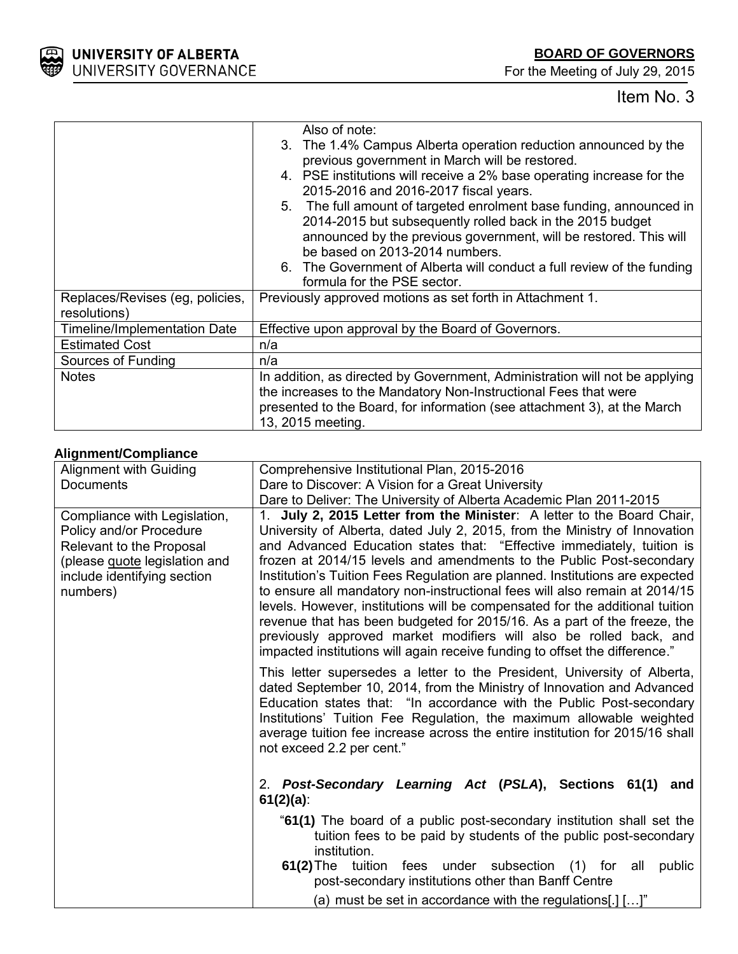

For the Meeting of July 29, 2015

# Item No. 3

|                                 | Also of note:                                                               |
|---------------------------------|-----------------------------------------------------------------------------|
|                                 | 3. The 1.4% Campus Alberta operation reduction announced by the             |
|                                 | previous government in March will be restored.                              |
|                                 | 4. PSE institutions will receive a 2% base operating increase for the       |
|                                 | 2015-2016 and 2016-2017 fiscal years.                                       |
|                                 | 5. The full amount of targeted enrolment base funding, announced in         |
|                                 | 2014-2015 but subsequently rolled back in the 2015 budget                   |
|                                 | announced by the previous government, will be restored. This will           |
|                                 | be based on 2013-2014 numbers.                                              |
|                                 | 6. The Government of Alberta will conduct a full review of the funding      |
|                                 | formula for the PSE sector.                                                 |
| Replaces/Revises (eg, policies, | Previously approved motions as set forth in Attachment 1.                   |
| resolutions)                    |                                                                             |
| Timeline/Implementation Date    | Effective upon approval by the Board of Governors.                          |
| <b>Estimated Cost</b>           | n/a                                                                         |
| Sources of Funding              | n/a                                                                         |
| <b>Notes</b>                    | In addition, as directed by Government, Administration will not be applying |
|                                 | the increases to the Mandatory Non-Instructional Fees that were             |
|                                 | presented to the Board, for information (see attachment 3), at the March    |
|                                 | 13, 2015 meeting.                                                           |

# **Alignment/Compliance**

| Alignment with Guiding                                                                                                                                          | Comprehensive Institutional Plan, 2015-2016                                                                                                                                                                                                                                                                                                                                                                                                                                                                                                                                                                                                                                                                                                                                           |  |  |  |  |  |  |
|-----------------------------------------------------------------------------------------------------------------------------------------------------------------|---------------------------------------------------------------------------------------------------------------------------------------------------------------------------------------------------------------------------------------------------------------------------------------------------------------------------------------------------------------------------------------------------------------------------------------------------------------------------------------------------------------------------------------------------------------------------------------------------------------------------------------------------------------------------------------------------------------------------------------------------------------------------------------|--|--|--|--|--|--|
|                                                                                                                                                                 | Dare to Discover: A Vision for a Great University                                                                                                                                                                                                                                                                                                                                                                                                                                                                                                                                                                                                                                                                                                                                     |  |  |  |  |  |  |
| <b>Documents</b>                                                                                                                                                |                                                                                                                                                                                                                                                                                                                                                                                                                                                                                                                                                                                                                                                                                                                                                                                       |  |  |  |  |  |  |
|                                                                                                                                                                 | Dare to Deliver: The University of Alberta Academic Plan 2011-2015                                                                                                                                                                                                                                                                                                                                                                                                                                                                                                                                                                                                                                                                                                                    |  |  |  |  |  |  |
| Compliance with Legislation,<br>Policy and/or Procedure<br>Relevant to the Proposal<br>(please guote legislation and<br>include identifying section<br>numbers) | 1. July 2, 2015 Letter from the Minister: A letter to the Board Chair,<br>University of Alberta, dated July 2, 2015, from the Ministry of Innovation<br>and Advanced Education states that: "Effective immediately, tuition is<br>frozen at 2014/15 levels and amendments to the Public Post-secondary<br>Institution's Tuition Fees Regulation are planned. Institutions are expected<br>to ensure all mandatory non-instructional fees will also remain at 2014/15<br>levels. However, institutions will be compensated for the additional tuition<br>revenue that has been budgeted for 2015/16. As a part of the freeze, the<br>previously approved market modifiers will also be rolled back, and<br>impacted institutions will again receive funding to offset the difference." |  |  |  |  |  |  |
|                                                                                                                                                                 | This letter supersedes a letter to the President, University of Alberta,<br>dated September 10, 2014, from the Ministry of Innovation and Advanced<br>Education states that: "In accordance with the Public Post-secondary<br>Institutions' Tuition Fee Regulation, the maximum allowable weighted<br>average tuition fee increase across the entire institution for 2015/16 shall<br>not exceed 2.2 per cent."                                                                                                                                                                                                                                                                                                                                                                       |  |  |  |  |  |  |
|                                                                                                                                                                 | 2. Post-Secondary Learning Act (PSLA), Sections 61(1) and<br>$61(2)(a)$ :                                                                                                                                                                                                                                                                                                                                                                                                                                                                                                                                                                                                                                                                                                             |  |  |  |  |  |  |
|                                                                                                                                                                 | "61(1) The board of a public post-secondary institution shall set the<br>tuition fees to be paid by students of the public post-secondary<br>institution.<br>61(2) The tuition fees under subsection (1) for all public<br>post-secondary institutions other than Banff Centre                                                                                                                                                                                                                                                                                                                                                                                                                                                                                                        |  |  |  |  |  |  |
|                                                                                                                                                                 | (a) must be set in accordance with the regulations[.] $[]$ "                                                                                                                                                                                                                                                                                                                                                                                                                                                                                                                                                                                                                                                                                                                          |  |  |  |  |  |  |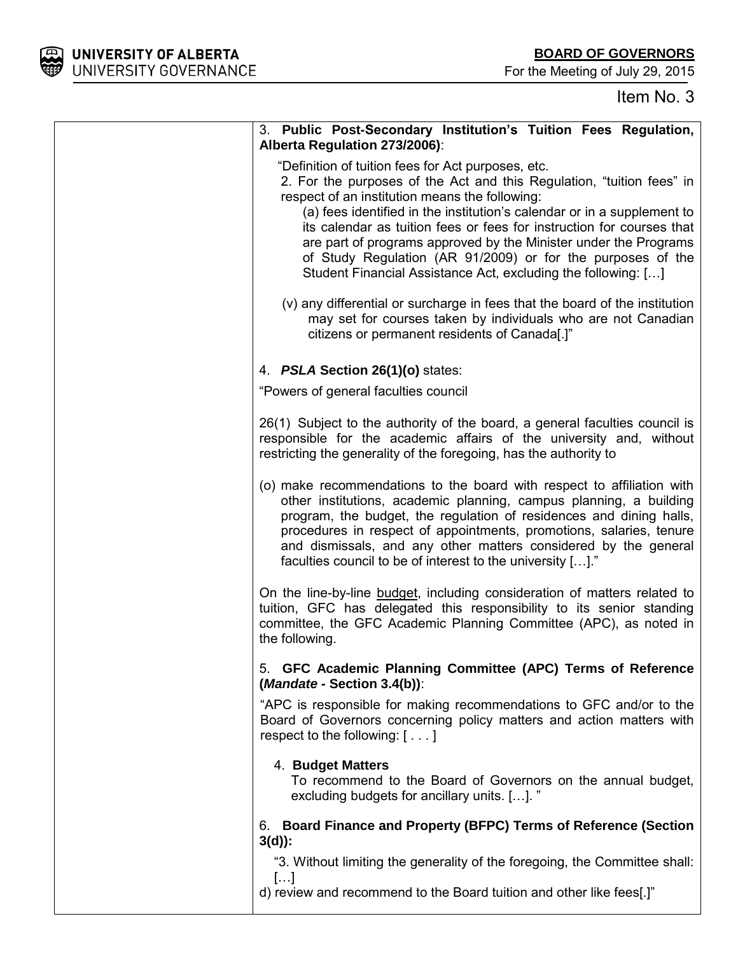For the Meeting of July 29, 2015

| 3. Public Post-Secondary Institution's Tuition Fees Regulation,<br>Alberta Regulation 273/2006):                                                                                                                                                                                                                                                                                                                                                                                                                                      |
|---------------------------------------------------------------------------------------------------------------------------------------------------------------------------------------------------------------------------------------------------------------------------------------------------------------------------------------------------------------------------------------------------------------------------------------------------------------------------------------------------------------------------------------|
| "Definition of tuition fees for Act purposes, etc.<br>2. For the purposes of the Act and this Regulation, "tuition fees" in<br>respect of an institution means the following:<br>(a) fees identified in the institution's calendar or in a supplement to<br>its calendar as tuition fees or fees for instruction for courses that<br>are part of programs approved by the Minister under the Programs<br>of Study Regulation (AR 91/2009) or for the purposes of the<br>Student Financial Assistance Act, excluding the following: [] |
| (v) any differential or surcharge in fees that the board of the institution<br>may set for courses taken by individuals who are not Canadian<br>citizens or permanent residents of Canada[.]"                                                                                                                                                                                                                                                                                                                                         |
| 4. PSLA Section 26(1)(o) states:                                                                                                                                                                                                                                                                                                                                                                                                                                                                                                      |
| "Powers of general faculties council                                                                                                                                                                                                                                                                                                                                                                                                                                                                                                  |
| 26(1) Subject to the authority of the board, a general faculties council is<br>responsible for the academic affairs of the university and, without<br>restricting the generality of the foregoing, has the authority to                                                                                                                                                                                                                                                                                                               |
| (o) make recommendations to the board with respect to affiliation with<br>other institutions, academic planning, campus planning, a building<br>program, the budget, the regulation of residences and dining halls,<br>procedures in respect of appointments, promotions, salaries, tenure<br>and dismissals, and any other matters considered by the general<br>faculties council to be of interest to the university []."                                                                                                           |
| On the line-by-line budget, including consideration of matters related to<br>tuition, GFC has delegated this responsibility to its senior standing<br>committee, the GFC Academic Planning Committee (APC), as noted in<br>the following.                                                                                                                                                                                                                                                                                             |
| 5. GFC Academic Planning Committee (APC) Terms of Reference<br>(Mandate - Section 3.4(b)):                                                                                                                                                                                                                                                                                                                                                                                                                                            |
| "APC is responsible for making recommendations to GFC and/or to the<br>Board of Governors concerning policy matters and action matters with<br>respect to the following: $[\ldots]$                                                                                                                                                                                                                                                                                                                                                   |
| 4. Budget Matters<br>To recommend to the Board of Governors on the annual budget,<br>excluding budgets for ancillary units. []. "                                                                                                                                                                                                                                                                                                                                                                                                     |
| 6. Board Finance and Property (BFPC) Terms of Reference (Section<br>$3(d)$ :                                                                                                                                                                                                                                                                                                                                                                                                                                                          |
| "3. Without limiting the generality of the foregoing, the Committee shall:                                                                                                                                                                                                                                                                                                                                                                                                                                                            |
| []<br>d) review and recommend to the Board tuition and other like fees[.]"                                                                                                                                                                                                                                                                                                                                                                                                                                                            |

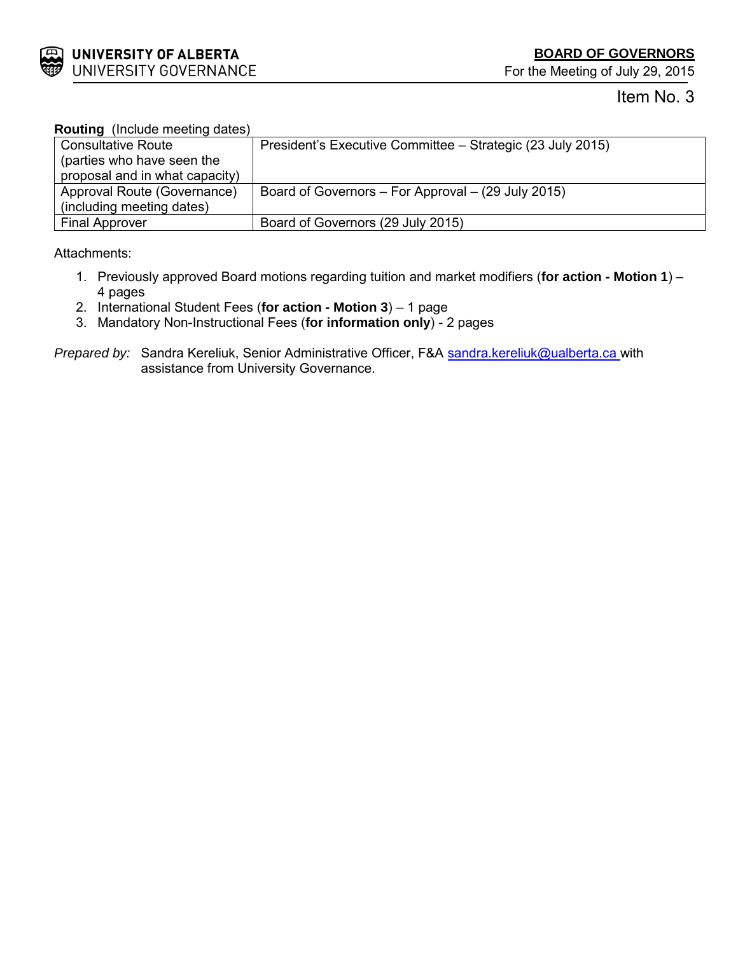

# Item No. 3

| <b>Routing</b> (Include meeting dates) |                                                            |
|----------------------------------------|------------------------------------------------------------|
| <b>Consultative Route</b>              | President's Executive Committee – Strategic (23 July 2015) |
| (parties who have seen the             |                                                            |
| proposal and in what capacity)         |                                                            |
| Approval Route (Governance)            | Board of Governors – For Approval – (29 July 2015)         |
| (including meeting dates)              |                                                            |
| <b>Final Approver</b>                  | Board of Governors (29 July 2015)                          |

Attachments:

- 1. Previously approved Board motions regarding tuition and market modifiers (**for action - Motion 1**) 4 pages
- 2. International Student Fees (**for action - Motion 3**) 1 page
- 3. Mandatory Non-Instructional Fees (**for information only**) 2 pages

*Prepared by:* Sandra Kereliuk, Senior Administrative Officer, F&A **[sandra.kereliuk@ualberta.ca](mailto:sandra.kereliuk@ualberta.ca)** with assistance from University Governance.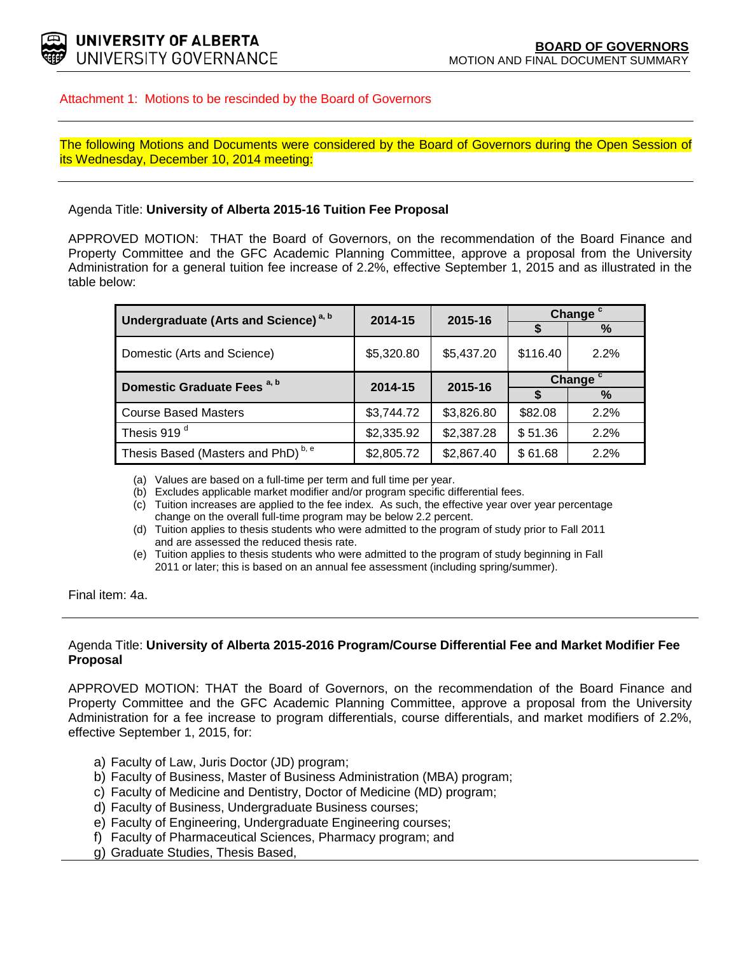

### Attachment 1: Motions to be rescinded by the Board of Governors

The following Motions and Documents were considered by the Board of Governors during the Open Session of its Wednesday, December 10, 2014 meeting:

#### Agenda Title: **University of Alberta 2015-16 Tuition Fee Proposal**

APPROVED MOTION: THAT the Board of Governors, on the recommendation of the Board Finance and Property Committee and the GFC Academic Planning Committee, approve a proposal from the University Administration for a general tuition fee increase of 2.2%, effective September 1, 2015 and as illustrated in the table below:

| Undergraduate (Arts and Science) <sup>a, b</sup> | 2014-15    | 2015-16    | Change <sup>c</sup> |      |  |
|--------------------------------------------------|------------|------------|---------------------|------|--|
|                                                  |            |            | \$                  | %    |  |
| Domestic (Arts and Science)                      | \$5,320.80 | \$5,437.20 | \$116.40            | 2.2% |  |
| Domestic Graduate Fees <sup>a, b</sup>           | 2014-15    | 2015-16    | Change <sup>c</sup> |      |  |
|                                                  |            |            |                     | %    |  |
| <b>Course Based Masters</b>                      | \$3,744.72 | \$3,826.80 | \$82.08             | 2.2% |  |
| Thesis 919 <sup>d</sup>                          | \$2,335.92 | \$2,387.28 | \$51.36             | 2.2% |  |
| Thesis Based (Masters and PhD) <sup>b, e</sup>   | \$2,805.72 | \$2,867.40 | \$61.68             | 2.2% |  |

(a) Values are based on a full-time per term and full time per year.

(b) Excludes applicable market modifier and/or program specific differential fees.

(c) Tuition increases are applied to the fee index. As such, the effective year over year percentage change on the overall full-time program may be below 2.2 percent.

- (d) Tuition applies to thesis students who were admitted to the program of study prior to Fall 2011 and are assessed the reduced thesis rate.
- (e) Tuition applies to thesis students who were admitted to the program of study beginning in Fall 2011 or later; this is based on an annual fee assessment (including spring/summer).

Final item: 4a.

#### Agenda Title: **University of Alberta 2015-2016 Program/Course Differential Fee and Market Modifier Fee Proposal**

APPROVED MOTION: THAT the Board of Governors, on the recommendation of the Board Finance and Property Committee and the GFC Academic Planning Committee, approve a proposal from the University Administration for a fee increase to program differentials, course differentials, and market modifiers of 2.2%, effective September 1, 2015, for:

- a) Faculty of Law, Juris Doctor (JD) program;
- b) Faculty of Business, Master of Business Administration (MBA) program;
- c) Faculty of Medicine and Dentistry, Doctor of Medicine (MD) program;
- d) Faculty of Business, Undergraduate Business courses;
- e) Faculty of Engineering, Undergraduate Engineering courses;
- f) Faculty of Pharmaceutical Sciences, Pharmacy program; and
- g) Graduate Studies, Thesis Based,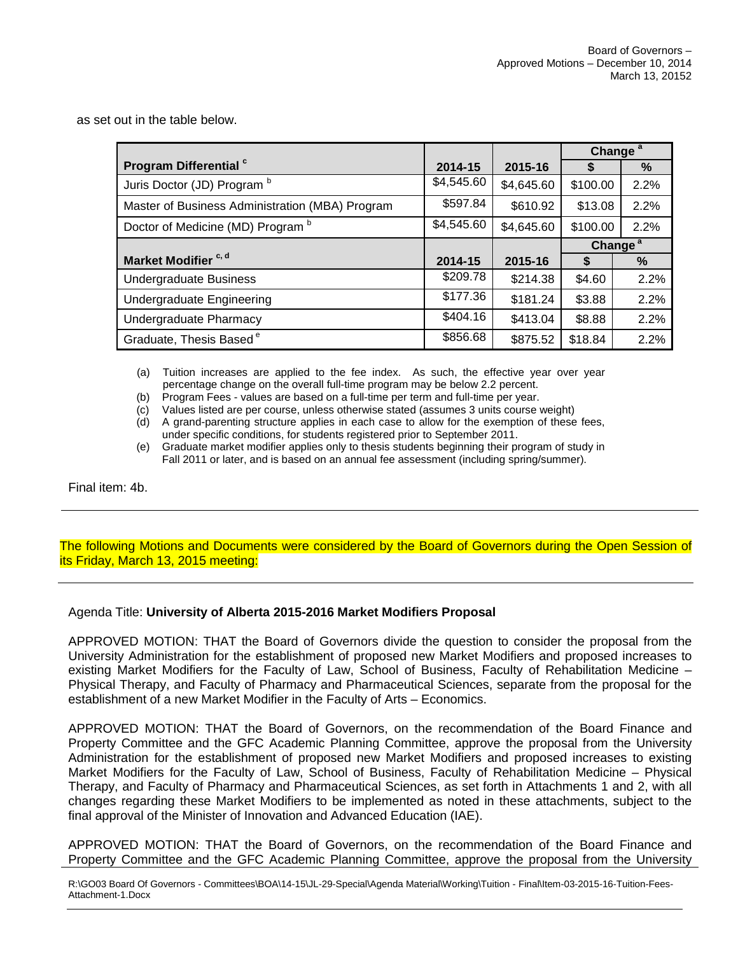as set out in the table below.

|                                                 |            |            | Change <sup>a</sup> |      |
|-------------------------------------------------|------------|------------|---------------------|------|
| Program Differential c                          | 2014-15    | 2015-16    |                     | %    |
| Juris Doctor (JD) Program b                     | \$4,545.60 | \$4,645.60 | \$100.00            | 2.2% |
| Master of Business Administration (MBA) Program | \$597.84   | \$610.92   | \$13.08             | 2.2% |
| Doctor of Medicine (MD) Program b               | \$4,545.60 | \$4,645.60 | \$100.00            | 2.2% |
|                                                 |            |            | Change <sup>a</sup> |      |
| Market Modifier <sup>c, d</sup>                 | 2014-15    | 2015-16    | S                   | %    |
| <b>Undergraduate Business</b>                   | \$209.78   | \$214.38   | \$4.60              | 2.2% |
| Undergraduate Engineering                       | \$177.36   | \$181.24   | \$3.88              | 2.2% |
| Undergraduate Pharmacy                          | \$404.16   | \$413.04   | \$8.88              | 2.2% |
| Graduate, Thesis Based <sup>e</sup>             | \$856.68   | \$875.52   | \$18.84             | 2.2% |

(a) Tuition increases are applied to the fee index. As such, the effective year over year percentage change on the overall full-time program may be below 2.2 percent.

(b) Program Fees - values are based on a full-time per term and full-time per year.

(c) Values listed are per course, unless otherwise stated (assumes 3 units course weight)

(d) A grand-parenting structure applies in each case to allow for the exemption of these fees, under specific conditions, for students registered prior to September 2011.

(e) Graduate market modifier applies only to thesis students beginning their program of study in Fall 2011 or later, and is based on an annual fee assessment (including spring/summer).

Final item: 4b.

The following Motions and Documents were considered by the Board of Governors during the Open Session of its Friday, March 13, 2015 meeting:

Agenda Title: **University of Alberta 2015-2016 Market Modifiers Proposal**

APPROVED MOTION: THAT the Board of Governors divide the question to consider the proposal from the University Administration for the establishment of proposed new Market Modifiers and proposed increases to existing Market Modifiers for the Faculty of Law, School of Business, Faculty of Rehabilitation Medicine – Physical Therapy, and Faculty of Pharmacy and Pharmaceutical Sciences, separate from the proposal for the establishment of a new Market Modifier in the Faculty of Arts – Economics.

APPROVED MOTION: THAT the Board of Governors, on the recommendation of the Board Finance and Property Committee and the GFC Academic Planning Committee, approve the proposal from the University Administration for the establishment of proposed new Market Modifiers and proposed increases to existing Market Modifiers for the Faculty of Law, School of Business, Faculty of Rehabilitation Medicine – Physical Therapy, and Faculty of Pharmacy and Pharmaceutical Sciences, as set forth in Attachments 1 and 2, with all changes regarding these Market Modifiers to be implemented as noted in these attachments, subject to the final approval of the Minister of Innovation and Advanced Education (IAE).

APPROVED MOTION: THAT the Board of Governors, on the recommendation of the Board Finance and Property Committee and the GFC Academic Planning Committee, approve the proposal from the University

R:\GO03 Board Of Governors - Committees\BOA\14-15\JL-29-Special\Agenda Material\Working\Tuition - Final\Item-03-2015-16-Tuition-Fees-Attachment-1.Docx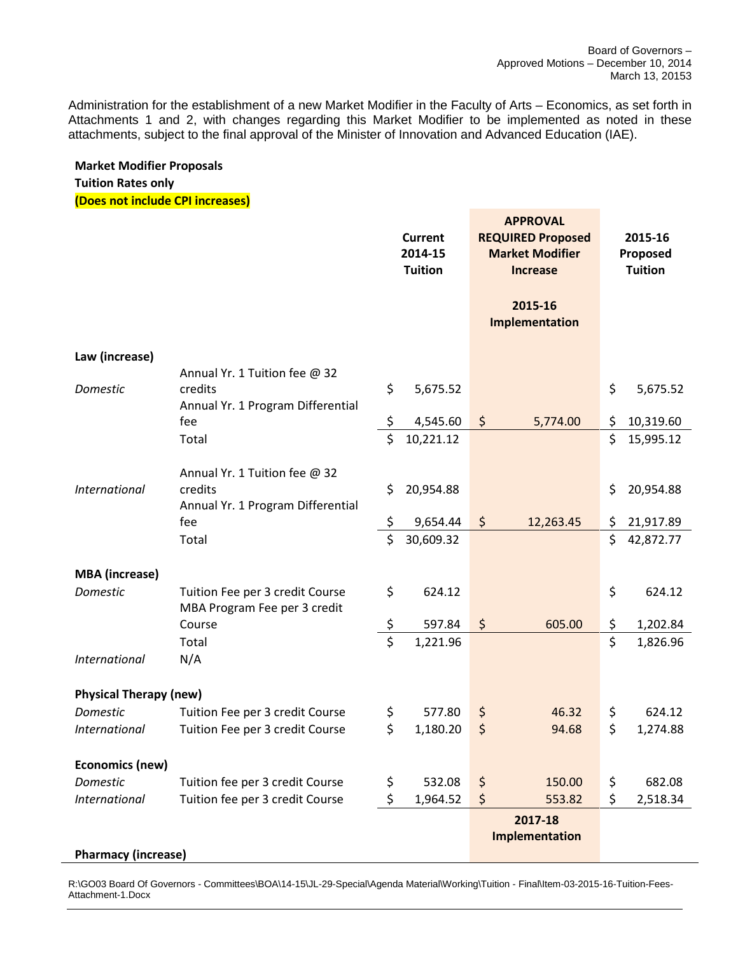Administration for the establishment of a new Market Modifier in the Faculty of Arts – Economics, as set forth in Attachments 1 and 2, with changes regarding this Market Modifier to be implemented as noted in these attachments, subject to the final approval of the Minister of Innovation and Advanced Education (IAE).

# **Market Modifier Proposals Tuition Rates only**

**(Does not include CPI increases)**

|                               |                                                                               | Current<br>2014-15<br><b>Tuition</b> |                    | <b>APPROVAL</b><br><b>REQUIRED Proposed</b><br><b>Market Modifier</b><br><b>Increase</b> |                           | 2015-16<br>Proposed<br><b>Tuition</b> |                      |
|-------------------------------|-------------------------------------------------------------------------------|--------------------------------------|--------------------|------------------------------------------------------------------------------------------|---------------------------|---------------------------------------|----------------------|
|                               |                                                                               |                                      |                    |                                                                                          | 2015-16<br>Implementation |                                       |                      |
| Law (increase)                |                                                                               |                                      |                    |                                                                                          |                           |                                       |                      |
| Domestic                      | Annual Yr. 1 Tuition fee @ 32<br>credits<br>Annual Yr. 1 Program Differential | \$                                   | 5,675.52           |                                                                                          |                           | \$                                    | 5,675.52             |
|                               | fee                                                                           | \$                                   | 4,545.60           | $\zeta$                                                                                  | 5,774.00                  | \$                                    | 10,319.60            |
|                               | Total                                                                         | \$                                   | 10,221.12          |                                                                                          |                           | \$                                    | 15,995.12            |
| <b>International</b>          | Annual Yr. 1 Tuition fee @ 32<br>credits                                      | \$                                   | 20,954.88          |                                                                                          |                           | \$                                    | 20,954.88            |
|                               | Annual Yr. 1 Program Differential<br>fee                                      | \$                                   | 9,654.44           | $\zeta$                                                                                  | 12,263.45                 | \$                                    | 21,917.89            |
|                               | Total                                                                         | \$                                   | 30,609.32          |                                                                                          |                           | \$                                    | 42,872.77            |
|                               |                                                                               |                                      |                    |                                                                                          |                           |                                       |                      |
| <b>MBA</b> (increase)         |                                                                               |                                      |                    |                                                                                          |                           |                                       |                      |
| Domestic                      | Tuition Fee per 3 credit Course<br>MBA Program Fee per 3 credit               | \$                                   | 624.12             |                                                                                          |                           | \$                                    | 624.12               |
|                               | Course<br>Total                                                               | \$<br>\$                             | 597.84<br>1,221.96 | $\zeta$                                                                                  | 605.00                    | \$<br>\$                              | 1,202.84<br>1,826.96 |
| International                 | N/A                                                                           |                                      |                    |                                                                                          |                           |                                       |                      |
|                               |                                                                               |                                      |                    |                                                                                          |                           |                                       |                      |
| <b>Physical Therapy (new)</b> |                                                                               |                                      |                    |                                                                                          |                           |                                       |                      |
| Domestic                      | Tuition Fee per 3 credit Course                                               | \$                                   | 577.80             | \$                                                                                       | 46.32                     | \$                                    | 624.12               |
| <b>International</b>          | Tuition Fee per 3 credit Course                                               | \$                                   | 1,180.20           | $\zeta$                                                                                  | 94.68                     | \$                                    | 1,274.88             |
|                               |                                                                               |                                      |                    |                                                                                          |                           |                                       |                      |
| Economics (new)               |                                                                               |                                      |                    |                                                                                          |                           |                                       |                      |
| Domestic                      | Tuition fee per 3 credit Course                                               | \$                                   | 532.08             | \$                                                                                       | 150.00                    | \$                                    | 682.08               |
| <b>International</b>          | Tuition fee per 3 credit Course                                               | \$                                   | 1,964.52           | \$                                                                                       | 553.82                    | \$                                    | 2,518.34             |
| <b>Pharmacy (increase)</b>    |                                                                               |                                      |                    |                                                                                          | 2017-18<br>Implementation |                                       |                      |

R:\GO03 Board Of Governors - Committees\BOA\14-15\JL-29-Special\Agenda Material\Working\Tuition - Final\Item-03-2015-16-Tuition-Fees-Attachment-1.Docx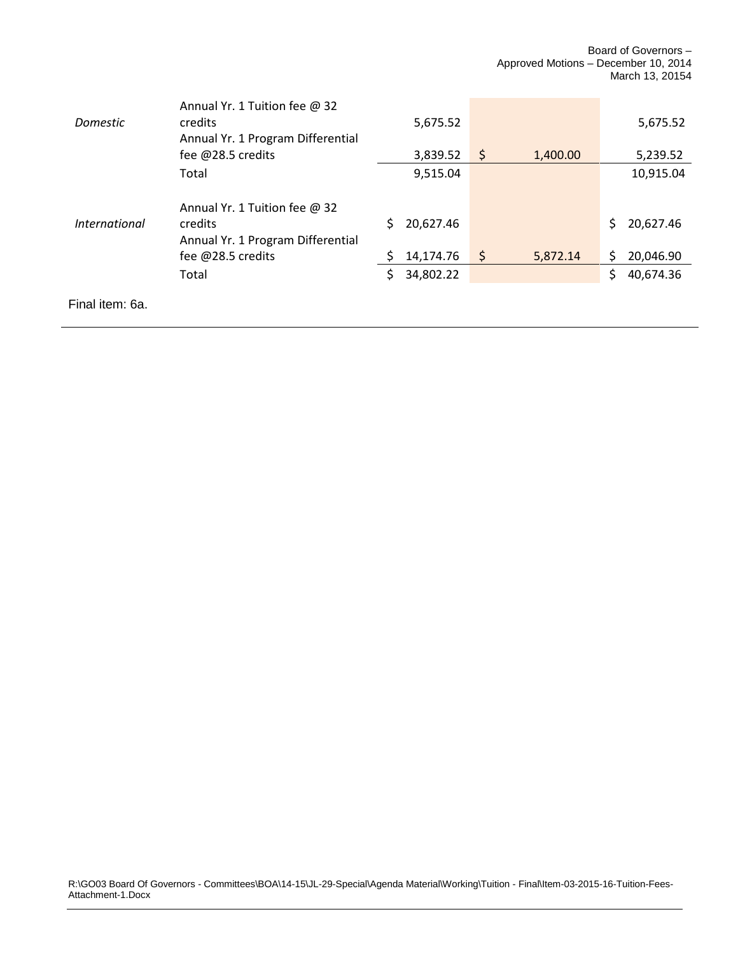| <b>Domestic</b>      | Annual Yr. 1 Tuition fee $@32$<br>credits                                     |    | 5,675.52  |         |          |    | 5,675.52  |
|----------------------|-------------------------------------------------------------------------------|----|-----------|---------|----------|----|-----------|
|                      | Annual Yr. 1 Program Differential<br>fee @28.5 credits                        |    | 3,839.52  | $\zeta$ | 1,400.00 |    | 5,239.52  |
|                      | Total                                                                         |    | 9,515.04  |         |          |    | 10,915.04 |
| <i>International</i> | Annual Yr. 1 Tuition fee @ 32<br>credits<br>Annual Yr. 1 Program Differential | S. | 20,627.46 |         |          | S. | 20,627.46 |
|                      | fee @28.5 credits                                                             |    | 14,174.76 | -\$     | 5,872.14 | Ś. | 20,046.90 |
|                      | Total                                                                         | Ś. | 34,802.22 |         |          | S. | 40,674.36 |
| Final item: 6a.      |                                                                               |    |           |         |          |    |           |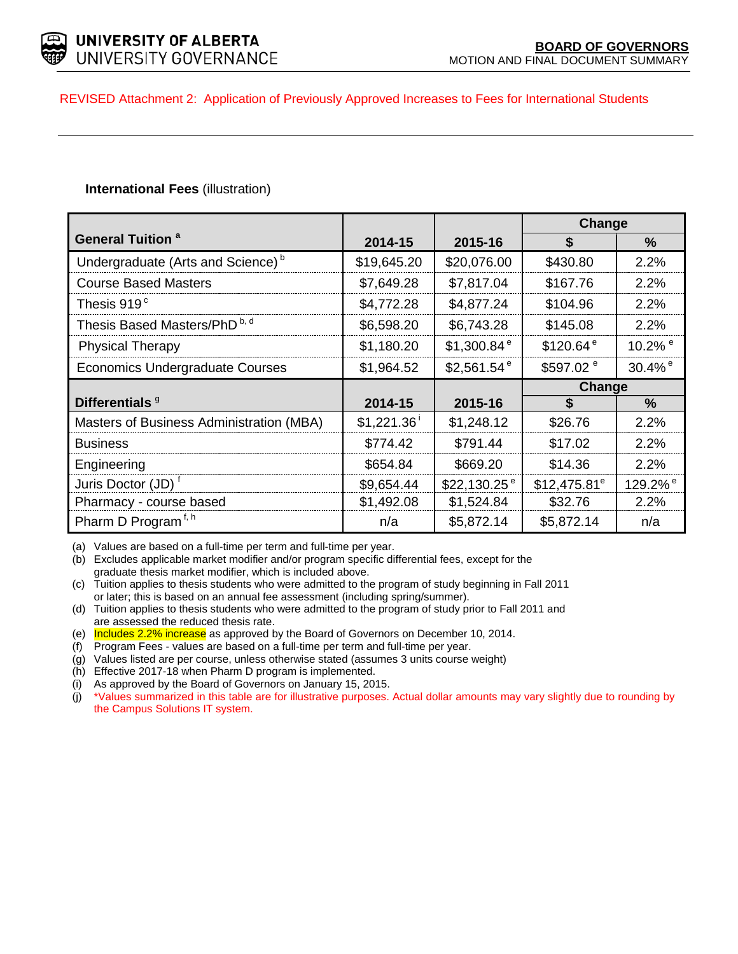

## REVISED Attachment 2: Application of Previously Approved Increases to Fees for International Students

# **International Fees** (illustration)

|                                               |                          |                           | Change                |                       |
|-----------------------------------------------|--------------------------|---------------------------|-----------------------|-----------------------|
| <b>General Tuition <sup>a</sup></b>           | 2014-15                  | 2015-16                   | \$                    | $\%$                  |
| Undergraduate (Arts and Science) <sup>b</sup> | \$19,645.20              | \$20,076.00               | \$430.80              | 2.2%                  |
| <b>Course Based Masters</b>                   | \$7,649.28               | \$7,817.04                | \$167.76              | 2.2%                  |
| Thesis 919 $^{\circ}$                         | \$4,772.28               | \$4,877.24                | \$104.96              | 2.2%                  |
| Thesis Based Masters/PhD <sup>b, d</sup>      | \$6,598.20               | \$6,743.28                | \$145.08              | 2.2%                  |
| <b>Physical Therapy</b>                       | \$1,180.20               | \$1,300.84 $e$            | \$120.64 <sup>e</sup> | 10.2% $\degree$       |
| Economics Undergraduate Courses               | \$1,964.52               | $$2,561.54$ <sup>e</sup>  | \$597.02 <sup>e</sup> | $30.4\%$ <sup>e</sup> |
|                                               |                          |                           | Change                |                       |
| Differentials <sup>9</sup>                    | 2014-15                  | 2015-16                   | \$                    | $\%$                  |
| Masters of Business Administration (MBA)      | $$1,221.36$ <sup>i</sup> | \$1,248.12                | \$26.76               | 2.2%                  |
| <b>Business</b>                               | \$774.42                 | \$791.44                  | \$17.02               | 2.2%                  |
| Engineering                                   | \$654.84                 | \$669.20                  | \$14.36               | 2.2%                  |
| Juris Doctor (JD) <sup>t</sup>                | \$9,654.44               | $$22,130.25$ <sup>e</sup> | $$12,475.81^e$        | 129.2% <sup>e</sup>   |
| Pharmacy - course based                       | \$1,492.08               | \$1,524.84                | \$32.76               | 2.2%                  |
| Pharm D Program <sup>f, h</sup>               | n/a                      | \$5,872.14                | \$5,872.14            | n/a                   |

(a) Values are based on a full-time per term and full-time per year.

(b) Excludes applicable market modifier and/or program specific differential fees, except for the graduate thesis market modifier, which is included above.

(c) Tuition applies to thesis students who were admitted to the program of study beginning in Fall 2011 or later; this is based on an annual fee assessment (including spring/summer).

(d) Tuition applies to thesis students who were admitted to the program of study prior to Fall 2011 and are assessed the reduced thesis rate.

(e) Includes 2.2% increase as approved by the Board of Governors on December 10, 2014.

(f) Program Fees - values are based on a full-time per term and full-time per year.

(g) Values listed are per course, unless otherwise stated (assumes 3 units course weight)

(h) Effective 2017-18 when Pharm D program is implemented.

(i) As approved by the Board of Governors on January 15, 2015.

(j) \*Values summarized in this table are for illustrative purposes. Actual dollar amounts may vary slightly due to rounding by the Campus Solutions IT system.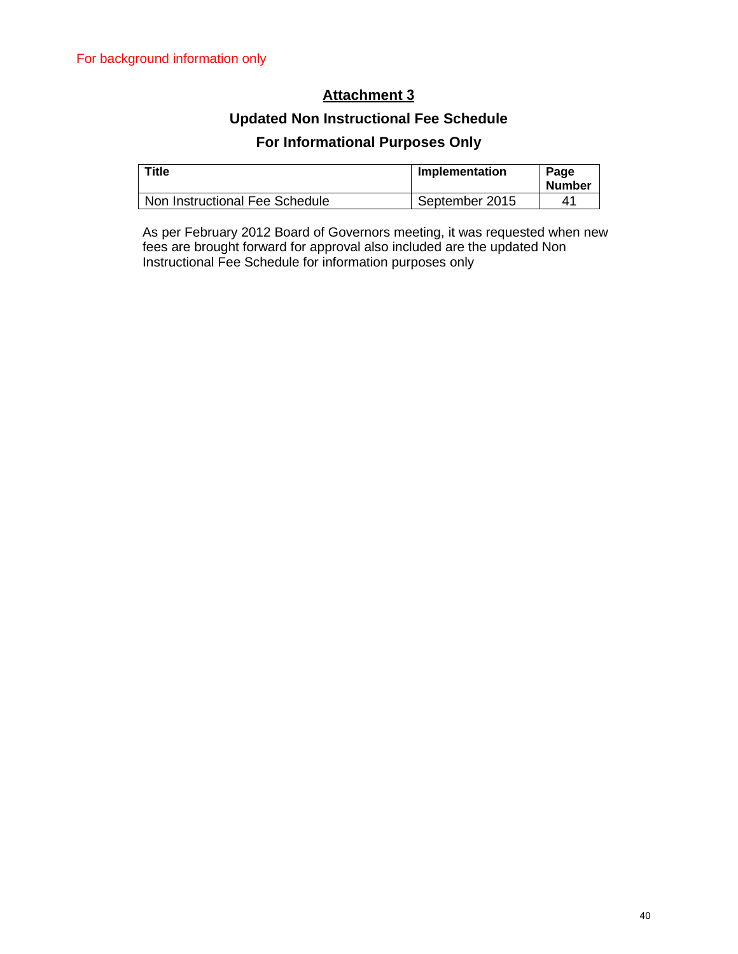# **Attachment 3**

# **Updated Non Instructional Fee Schedule For Informational Purposes Only**

| Title                          | Implementation | Page<br><b>Number</b> |
|--------------------------------|----------------|-----------------------|
| Non Instructional Fee Schedule | September 2015 | 41                    |

As per February 2012 Board of Governors meeting, it was requested when new fees are brought forward for approval also included are the updated Non Instructional Fee Schedule for information purposes only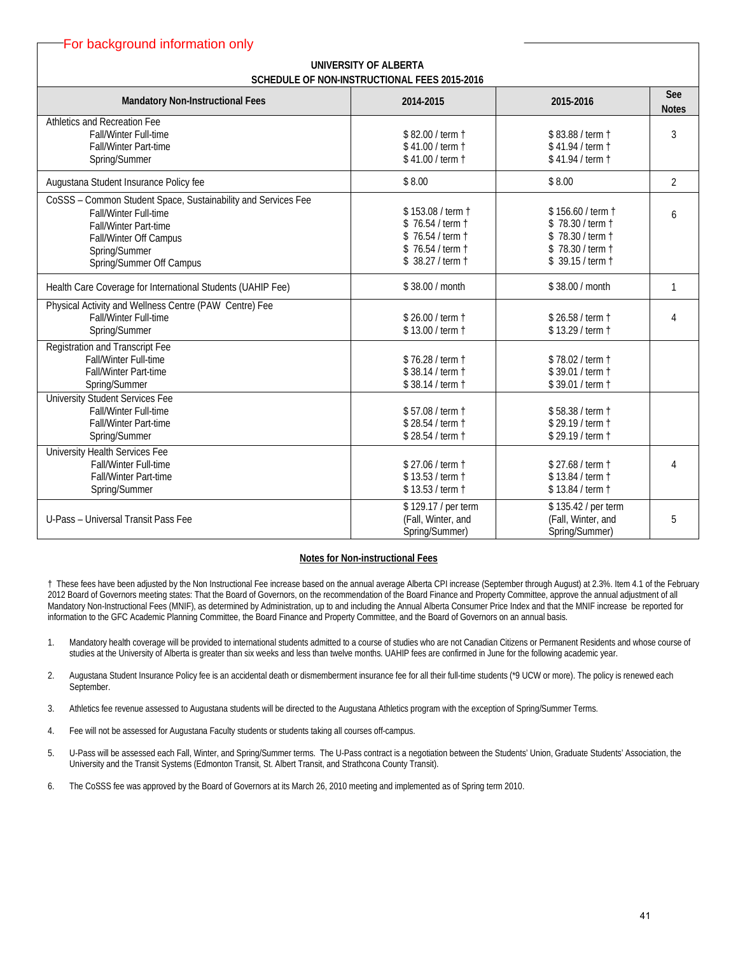| For background information only                                                                                                                                                               |                                                                                                    |                                                                                                    |                     |  |
|-----------------------------------------------------------------------------------------------------------------------------------------------------------------------------------------------|----------------------------------------------------------------------------------------------------|----------------------------------------------------------------------------------------------------|---------------------|--|
| UNIVERSITY OF ALBERTA<br>SCHEDULE OF NON-INSTRUCTIONAL FEES 2015-2016                                                                                                                         |                                                                                                    |                                                                                                    |                     |  |
| <b>Mandatory Non-Instructional Fees</b>                                                                                                                                                       | 2014-2015                                                                                          | 2015-2016                                                                                          | See<br><b>Notes</b> |  |
| Athletics and Recreation Fee<br><b>Fall/Winter Full-time</b><br><b>Fall/Winter Part-time</b><br>Spring/Summer                                                                                 | \$82.00 / term 1<br>\$41.00 / term t<br>\$41.00 / term t                                           | \$83.88 / term t<br>\$41.94 / term t<br>\$41.94 / term t                                           | 3                   |  |
| Augustana Student Insurance Policy fee                                                                                                                                                        | \$8.00                                                                                             | \$8.00                                                                                             | $\overline{2}$      |  |
| CoSSS - Common Student Space, Sustainability and Services Fee<br><b>Fall/Winter Full-time</b><br>Fall/Winter Part-time<br>Fall/Winter Off Campus<br>Spring/Summer<br>Spring/Summer Off Campus | \$153.08 / term 1<br>\$76.54 / term t<br>\$76.54 / term t<br>\$76.54 / term t<br>\$ 38.27 / term † | \$156.60 / term 1<br>\$78.30 / term 1<br>\$78.30 / term t<br>\$78.30 / term t<br>\$ 39.15 / term † | 6                   |  |
| Health Care Coverage for International Students (UAHIP Fee)                                                                                                                                   | \$38.00 / month                                                                                    | \$38.00 / month                                                                                    | 1                   |  |
| Physical Activity and Wellness Centre (PAW Centre) Fee<br><b>Fall/Winter Full-time</b><br>Spring/Summer                                                                                       | \$26.00 / term 1<br>\$13.00 / term 1                                                               | \$26.58 / term 1<br>\$13.29 / term 1                                                               | 4                   |  |
| Registration and Transcript Fee<br>Fall/Winter Full-time<br><b>Fall/Winter Part-time</b><br>Spring/Summer                                                                                     | \$76.28 / term 1<br>\$38.14 / term 1<br>\$38.14 / term 1                                           | \$78.02 / term t<br>\$39.01 / term t<br>\$39.01 / term 1                                           |                     |  |
| University Student Services Fee<br>Fall/Winter Full-time<br>Fall/Winter Part-time<br>Spring/Summer                                                                                            | \$57.08 / term 1<br>\$28.54 / term 1<br>\$28.54 / term t                                           | \$58.38 / term 1<br>\$29.19 / term t<br>\$29.19 / term t                                           |                     |  |
| <b>University Health Services Fee</b><br>Fall/Winter Full-time<br>Fall/Winter Part-time<br>Spring/Summer                                                                                      | \$27.06 / term 1<br>\$13.53 / term 1<br>\$13.53 / term 1                                           | \$27.68 / term +<br>\$13.84 / term 1<br>\$13.84 / term t                                           | 4                   |  |
| U-Pass - Universal Transit Pass Fee                                                                                                                                                           | \$129.17 / per term<br>(Fall, Winter, and<br>Spring/Summer)                                        | \$135.42 / per term<br>(Fall, Winter, and<br>Spring/Summer)                                        | 5                   |  |

#### **Notes for Non-instructional Fees**

† These fees have been adjusted by the Non Instructional Fee increase based on the annual average Alberta CPI increase (September through August) at 2.3%. Item 4.1 of the February 2012 Board of Governors meeting states: That the Board of Governors, on the recommendation of the Board Finance and Property Committee, approve the annual adjustment of all Mandatory Non-Instructional Fees (MNIF), as determined by Administration, up to and including the Annual Alberta Consumer Price Index and that the MNIF increase be reported for information to the GFC Academic Planning Committee, the Board Finance and Property Committee, and the Board of Governors on an annual basis.

- 1. Mandatory health coverage will be provided to international students admitted to a course of studies who are not Canadian Citizens or Permanent Residents and whose course of studies at the University of Alberta is greater than six weeks and less than twelve months. UAHIP fees are confirmed in June for the following academic year.
- 2. Augustana Student Insurance Policy fee is an accidental death or dismemberment insurance fee for all their full-time students (\*9 UCW or more). The policy is renewed each September.
- 3. Athletics fee revenue assessed to Augustana students will be directed to the Augustana Athletics program with the exception of Spring/Summer Terms.
- 4. Fee will not be assessed for Augustana Faculty students or students taking all courses off-campus.
- 5. U-Pass will be assessed each Fall, Winter, and Spring/Summer terms. The U-Pass contract is a negotiation between the Students' Union, Graduate Students' Association, the University and the Transit Systems (Edmonton Transit, St. Albert Transit, and Strathcona County Transit).
- 6. The CoSSS fee was approved by the Board of Governors at its March 26, 2010 meeting and implemented as of Spring term 2010.